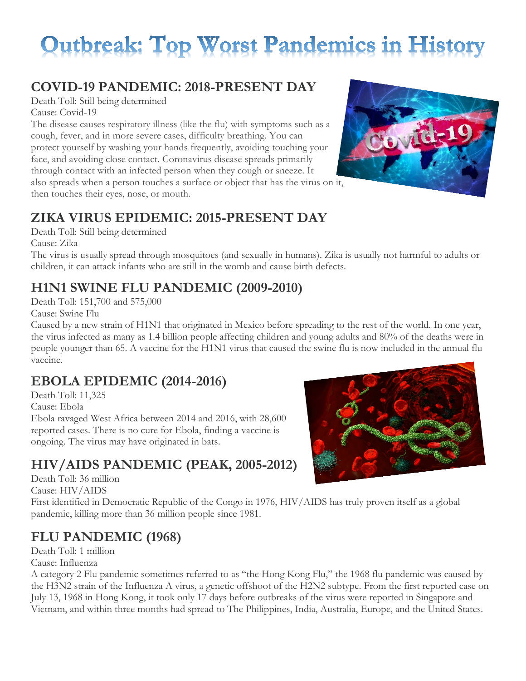# **Outbreak: Top Worst Pandemics in History**

### **COVID-19 PANDEMIC: 2018-PRESENT DAY**

Death Toll: Still being determined Cause: Covid-19

The disease causes respiratory illness (like the flu) with symptoms such as a cough, fever, and in more severe cases, difficulty breathing. You can protect yourself by washing your hands frequently, avoiding touching your face, and avoiding close contact. Coronavirus disease spreads primarily through contact with an infected person when they cough or sneeze. It also spreads when a person touches a surface or object that has the virus on it, then touches their eyes, nose, or mouth.

### **ZIKA VIRUS EPIDEMIC: 2015-PRESENT DAY**

Death Toll: Still being determined Cause: Zika

The virus is usually spread through mosquitoes (and sexually in humans). Zika is usually not harmful to adults or children, it can attack infants who are still in the womb and cause birth defects.

# **H1N1 SWINE FLU PANDEMIC (2009-2010)**

Death Toll: 151,700 and 575,000

Cause: Swine Flu

Caused by a new strain of H1N1 that originated in Mexico before spreading to the rest of the world. In one year, the virus infected as many as 1.4 billion people affecting children and young adults and 80% of the deaths were in people younger than 65. A vaccine for the H1N1 virus that caused the swine flu is now included in the annual flu vaccine.

## **EBOLA EPIDEMIC (2014-2016)**

Death Toll: 11,325 Cause: Ebola Ebola ravaged West Africa between 2014 and 2016, with 28,600 reported cases. There is no cure for Ebola, finding a vaccine is ongoing. The virus may have originated in bats.

# **HIV/AIDS PANDEMIC (PEAK, 2005-2012)**

Death Toll: 36 million Cause: HIV/AIDS

First identified in Democratic Republic of the Congo in 1976, HIV/AIDS has truly proven itself as a global pandemic, killing more than 36 million people since 1981.

# **FLU PANDEMIC (1968)**

Death Toll: 1 million Cause: Influenza

A category 2 Flu pandemic sometimes referred to as "the Hong Kong Flu," the 1968 flu pandemic was caused by the H3N2 strain of the Influenza A virus, a genetic offshoot of the H2N2 subtype. From the first reported case on July 13, 1968 in Hong Kong, it took only 17 days before outbreaks of the virus were reported in Singapore and Vietnam, and within three months had spread to The Philippines, India, Australia, Europe, and the United States.



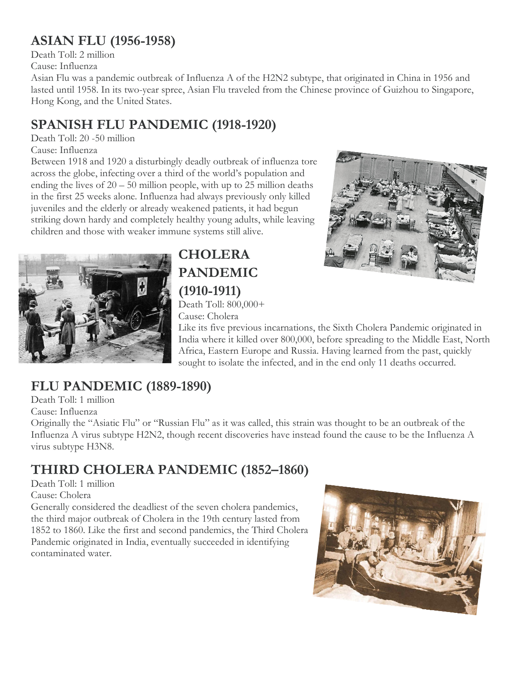### **ASIAN FLU (1956-1958)**

Death Toll: 2 million Cause: Influenza

Asian Flu was a pandemic outbreak of Influenza A of the H2N2 subtype, that originated in China in 1956 and lasted until 1958. In its two-year spree, Asian Flu traveled from the Chinese province of Guizhou to Singapore, Hong Kong, and the United States.

# **SPANISH FLU PANDEMIC (1918-1920)**

#### Death Toll: 20 -50 million

Cause: Influenza

Between 1918 and 1920 a disturbingly deadly outbreak of influenza tore across the globe, infecting over a third of the world's population and ending the lives of  $20 - 50$  million people, with up to 25 million deaths in the first 25 weeks alone. Influenza had always previously only killed juveniles and the elderly or already weakened patients, it had begun striking down hardy and completely healthy young adults, while leaving children and those with weaker immune systems still alive.



## **CHOLERA PANDEMIC (1910-1911)**

Death Toll: 800,000+ Cause: Cholera

Like its five previous incarnations, the Sixth Cholera Pandemic originated in India where it killed over 800,000, before spreading to the Middle East, North Africa, Eastern Europe and Russia. Having learned from the past, quickly sought to isolate the infected, and in the end only 11 deaths occurred.

## **FLU PANDEMIC (1889-1890)**

Death Toll: 1 million

Cause: Influenza

Originally the "Asiatic Flu" or "Russian Flu" as it was called, this strain was thought to be an outbreak of the Influenza A virus subtype H2N2, though recent discoveries have instead found the cause to be the Influenza A virus subtype H3N8.

# **THIRD CHOLERA PANDEMIC (1852–1860)**

Death Toll: 1 million

Cause: Cholera

Generally considered the deadliest of the seven cholera pandemics, the third major outbreak of Cholera in the 19th century lasted from 1852 to 1860. Like the first and second pandemics, the Third Cholera Pandemic originated in India, eventually succeeded in identifying contaminated water.